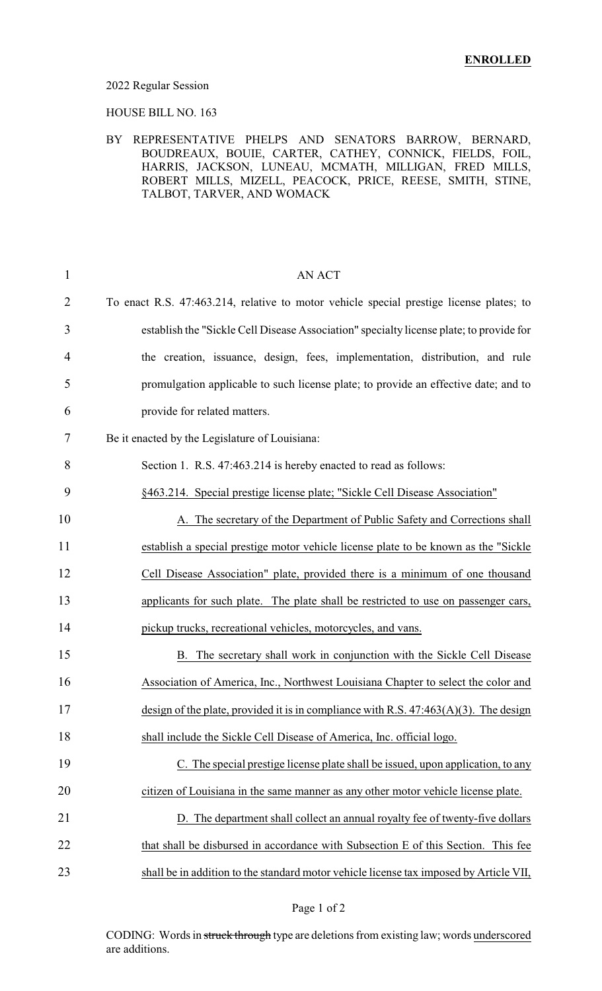#### 2022 Regular Session

HOUSE BILL NO. 163

### BY REPRESENTATIVE PHELPS AND SENATORS BARROW, BERNARD, BOUDREAUX, BOUIE, CARTER, CATHEY, CONNICK, FIELDS, FOIL, HARRIS, JACKSON, LUNEAU, MCMATH, MILLIGAN, FRED MILLS, ROBERT MILLS, MIZELL, PEACOCK, PRICE, REESE, SMITH, STINE, TALBOT, TARVER, AND WOMACK

| $\mathbf{1}$   | <b>AN ACT</b>                                                                           |
|----------------|-----------------------------------------------------------------------------------------|
| $\overline{2}$ | To enact R.S. 47:463.214, relative to motor vehicle special prestige license plates; to |
| 3              | establish the "Sickle Cell Disease Association" specialty license plate; to provide for |
| 4              | the creation, issuance, design, fees, implementation, distribution, and rule            |
| 5              | promulgation applicable to such license plate; to provide an effective date; and to     |
| 6              | provide for related matters.                                                            |
| 7              | Be it enacted by the Legislature of Louisiana:                                          |
| 8              | Section 1. R.S. 47:463.214 is hereby enacted to read as follows:                        |
| 9              | §463.214. Special prestige license plate; "Sickle Cell Disease Association"             |
| 10             | A. The secretary of the Department of Public Safety and Corrections shall               |
| 11             | establish a special prestige motor vehicle license plate to be known as the "Sickle"    |
| 12             | Cell Disease Association" plate, provided there is a minimum of one thousand            |
| 13             | applicants for such plate. The plate shall be restricted to use on passenger cars,      |
| 14             | pickup trucks, recreational vehicles, motorcycles, and vans.                            |
| 15             | B. The secretary shall work in conjunction with the Sickle Cell Disease                 |
| 16             | Association of America, Inc., Northwest Louisiana Chapter to select the color and       |
| 17             | design of the plate, provided it is in compliance with R.S. $47:463(A)(3)$ . The design |
| 18             | shall include the Sickle Cell Disease of America, Inc. official logo.                   |
| 19             | C. The special prestige license plate shall be issued, upon application, to any         |
| 20             | citizen of Louisiana in the same manner as any other motor vehicle license plate.       |
| 21             | D. The department shall collect an annual royalty fee of twenty-five dollars            |
| 22             | that shall be disbursed in accordance with Subsection E of this Section. This fee       |
| 23             | shall be in addition to the standard motor vehicle license tax imposed by Article VII,  |

CODING: Words in struck through type are deletions from existing law; words underscored are additions.